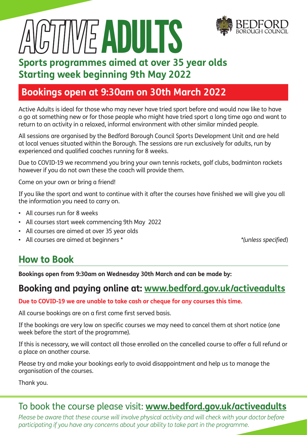

**WE ADULTS** 

#### **Sports programmes aimed at over 35 year olds Starting week beginning 9th May 2022**

#### **Bookings open at 9:30am on 30th March 2022**

Active Adults is ideal for those who may never have tried sport before and would now like to have a go at something new or for those people who might have tried sport a long time ago and want to return to an activity in a relaxed, informal environment with other similar minded people.

All sessions are organised by the Bedford Borough Council Sports Development Unit and are held at local venues situated within the Borough. The sessions are run exclusively for adults, run by experienced and qualified coaches running for 8 weeks.

Due to COVID-19 we recommend you bring your own tennis rackets, golf clubs, badminton rackets however if you do not own these the coach will provide them.

Come on your own or bring a friend!

If you like the sport and want to continue with it after the courses have finished we will give you all the information you need to carry on.

- All courses run for 8 weeks
- All courses start week commencing 9th May 2022
- All courses are aimed at over 35 year olds
- All courses are aimed at beginners \* *\*(unless specified*)

#### **How to Book**

**Bookings open from 9:30am on Wednesday 30th March and can be made by:**

#### **Booking and paying online at: www.bedford.gov.uk/activeadults**

**Due to COVID-19 we are unable to take cash or cheque for any courses this time.**

All course bookings are on a first come first served basis.

If the bookings are very low on specific courses we may need to cancel them at short notice (one week before the start of the programme).

If this is necessary, we will contact all those enrolled on the cancelled course to offer a full refund or a place on another course.

Please try and make your bookings early to avoid disappointment and help us to manage the organisation of the courses.

Thank you.

#### To book the course please visit: **www.bedford.gov.uk/activeadults**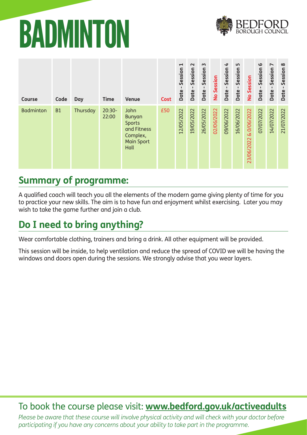### BADMINTON



| Course           | Code      | Day      | <b>Time</b>       | <b>Venue</b>                                                                            | <b>Cost</b> | $\blacktriangleright$<br>Session<br>п.<br>Date | $\sim$<br>Session<br>$\blacksquare$<br>Date | $\sim$<br>Session<br>$\mathbf{I}$<br>Date | No Session | $\rightarrow$<br>Session<br>Date- | LO.<br>Session<br>Date | No Session                | $\mathbf{\Omega}$<br>Session<br>Date | $\overline{\phantom{a}}$<br>Session<br>$\mathbf{I}$<br>Date | $\infty$<br>Session<br><b>Date</b> |
|------------------|-----------|----------|-------------------|-----------------------------------------------------------------------------------------|-------------|------------------------------------------------|---------------------------------------------|-------------------------------------------|------------|-----------------------------------|------------------------|---------------------------|--------------------------------------|-------------------------------------------------------------|------------------------------------|
| <b>Badminton</b> | <b>B1</b> | Thursday | $20:30-$<br>22:00 | John<br><b>Bunyan</b><br>Sports<br>and Fitness<br>Complex,<br><b>Main Sport</b><br>Hall | £50         | 12/05/2022                                     | 19/05/2022                                  | 26/05/2022                                | 02/06/2022 | 09/06/2022                        | 16/06/2022             | & 0/06/2022<br>23/06/2022 | 07/07/2022                           | 14/07/2022                                                  | 21/07/2022                         |

#### **Summary of programme:**

A qualified coach will teach you all the elements of the modern game giving plenty of time for you to practice your new skills. The aim is to have fun and enjoyment whilst exercising. Later you may wish to take the game further and join a club.

#### **Do I need to bring anything?**

Wear comfortable clothing, trainers and bring a drink. All other equipment will be provided.

This session will be inside, to help ventilation and reduce the spread of COVID we will be having the windows and doors open during the sessions. We strongly advise that you wear layers.

#### To book the course please visit: **www.bedford.gov.uk/activeadults**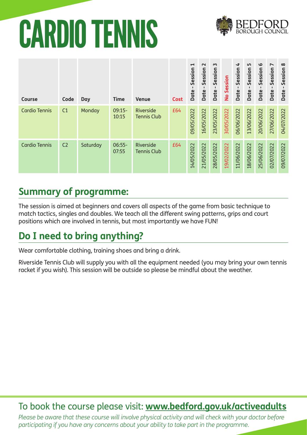# CARDIO TENNIS



| <b>Course</b>        | Code           | Day      | <b>Time</b>       | <b>Venue</b>                    | <b>Cost</b> | $\blacktriangleright$<br>Session<br>$\mathbf{I}$<br>Date | $\sim$<br>Session<br>$\blacksquare$<br><b>Date</b> | $\sim$<br>Session<br>$\mathbf{I}$<br><b>Date</b> | No Session | $\blacktriangleleft$<br>Session<br>Date | LO.<br>Session<br>п.<br>Date | $\boldsymbol{\omega}$<br>Session<br>Date | $\overline{\phantom{a}}$<br>Session<br>$\mathbf{I}$<br>Date | $\infty$<br>Session<br>Date |
|----------------------|----------------|----------|-------------------|---------------------------------|-------------|----------------------------------------------------------|----------------------------------------------------|--------------------------------------------------|------------|-----------------------------------------|------------------------------|------------------------------------------|-------------------------------------------------------------|-----------------------------|
| <b>Cardio Tennis</b> | C1             | Monday   | $09:15-$<br>10:15 | Riverside<br><b>Tennis Club</b> | £64         | 09/05/2022                                               | 16/05/2022                                         | 23/05/2022                                       | 30/05/2022 | 06/06/2022                              | 13/06/2022                   | 20/06/2022                               | 27/06/2022                                                  | 04/07/2022                  |
| <b>Cardio Tennis</b> | C <sub>2</sub> | Saturday | $06:55-$<br>07:55 | Riverside<br><b>Tennis Club</b> | £64         | 14/05/2022                                               | 21/05/2022                                         | 28/05/2022                                       | 19/02/2022 | 11/06/2022                              | 18/06/2022                   | 25/06/2022                               | 02/07/2022                                                  | 09/07/2022                  |

#### **Summary of programme:**

The session is aimed at beginners and covers all aspects of the game from basic technique to match tactics, singles and doubles. We teach all the different swing patterns, grips and court positions which are involved in tennis, but most importantly we have FUN!

#### **Do I need to bring anything?**

Wear comfortable clothing, training shoes and bring a drink.

Riverside Tennis Club will supply you with all the equipment needed (you may bring your own tennis racket if you wish). This session will be outside so please be mindful about the weather.

#### To book the course please visit: **www.bedford.gov.uk/activeadults**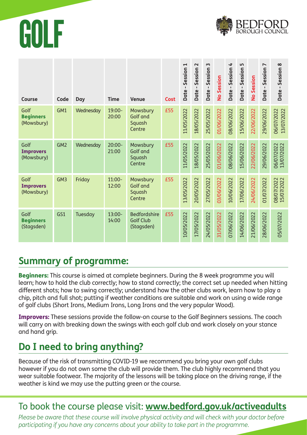



| <b>Course</b>                          | Code            | Day       | <b>Time</b>        | <b>Venue</b>                                          | <b>Cost</b> | $\blacktriangleright$<br>Session<br>Date- | $\sim$<br>Session<br>$\blacksquare$<br>Date | $\sim$<br>Session<br>$\blacksquare$<br>Date | No Session | 4<br>Session<br>$\mathbf{I}$<br>Date- | S<br>Session<br>$\blacksquare$<br>Date - | No Session | $\overline{\phantom{a}}$<br>Session<br>Date- | Session 8<br>$\blacksquare$<br>Date - |
|----------------------------------------|-----------------|-----------|--------------------|-------------------------------------------------------|-------------|-------------------------------------------|---------------------------------------------|---------------------------------------------|------------|---------------------------------------|------------------------------------------|------------|----------------------------------------------|---------------------------------------|
| Golf<br><b>Beginners</b><br>(Mowsbury) | GM1             | Wednesday | 19:00-<br>20:00    | Mowsbury<br><b>Golf and</b><br>Squash<br>Centre       | £55         | 11/05/2022                                | 18/05/2022                                  | 25/05/2022                                  | 01/06/2022 | 08/06/2022                            | 15/06/2022                               | 22/06/2022 | 29/06/2022                                   | 06/07/2022<br>13/07/2022              |
| Golf<br><b>Improvers</b><br>(Mowsbury) | GM <sub>2</sub> | Wednesday | $20:00 -$<br>21:00 | Mowsbury<br>Golf and<br>Squash<br>Centre              | £55         | 11/05/2022                                | 18/05/2022                                  | 25/05/2022                                  | 01/06/2022 | 08/06/2022                            | 15/06/2022                               | 22/06/2022 | 29/06/2022                                   | 06/07/2022<br>13/07/2022              |
| Golf<br><b>Improvers</b><br>(Mowsbury) | GM <sub>3</sub> | Friday    | $11:00-$<br>12:00  | Mowsbury<br>Golf and<br>Squash<br>Centre              | £55         | 13/05/2022                                | 20/05/2022                                  | 27/05/2022                                  | 03/06/2022 | 10/06/2022                            | 17/06/2022                               | 24/06/2022 | 01/07/2022                                   | 08/07/2022<br>15/07/2022              |
| Golf<br><b>Beginners</b><br>(Stagsden) | GS1             | Tuesday   | 13:00-<br>14:00    | <b>Bedfordshire</b><br><b>Golf Club</b><br>(Stagsden) | £55         | 10/05/2022                                | 17/05/2022                                  | 24/05/2022                                  | 31/05/2022 | 07/06/2022                            | 14/06/2022                               | 21/06/2022 | 28/06/2022                                   | 05/07/2022                            |

#### **Summary of programme:**

**Beginners:** This course is aimed at complete beginners. During the 8 week programme you will learn; how to hold the club correctly; how to stand correctly; the correct set up needed when hitting different shots; how to swing correctly; understand how the other clubs work, learn how to play a chip, pitch and full shot; putting if weather conditions are suitable and work on using a wide range of golf clubs (Short Irons, Medium Irons, Long Irons and the very popular Wood).

Improvers: These sessions provide the follow-on course to the Golf Beginners sessions. The coach will carry on with breaking down the swings with each golf club and work closely on your stance and hand grip.

#### **Do I need to bring anything?**

Because of the risk of transmitting COVID-19 we recommend you bring your own golf clubs however if you do not own some the club will provide them. The club highly recommend that you wear suitable footwear. The majority of the lessons will be taking place on the driving range, if the weather is kind we may use the putting green or the course.

#### To book the course please visit: **www.bedford.gov.uk/activeadults**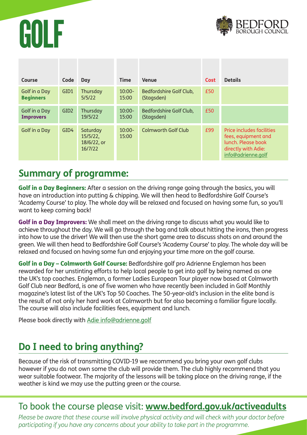



| Course                            | Code             | Day                                            | <b>Time</b>        | <b>Venue</b>                          | <b>Cost</b> | <b>Details</b>                                                                                                             |
|-----------------------------------|------------------|------------------------------------------------|--------------------|---------------------------------------|-------------|----------------------------------------------------------------------------------------------------------------------------|
| Golf in a Day<br><b>Beginners</b> | GID1             | Thursday<br>5/5/22                             | $10:00 -$<br>15:00 | Bedfordshire Golf Club,<br>(Stagsden) | £50         |                                                                                                                            |
| Golf in a Day<br><b>Improvers</b> | GID <sub>2</sub> | Thursday<br>19/5/22                            | $10:00 -$<br>15:00 | Bedfordshire Golf Club,<br>(Stagsden) | £50         |                                                                                                                            |
| Golf in a Day                     | GID4             | Saturday<br>15/5/22,<br>18/6/22, or<br>16/7/22 | $10:00 -$<br>15:00 | Colmworth Golf Club                   | £99         | <b>Price includes facilities</b><br>fees, equipment and<br>lunch. Please book<br>directly with Adie:<br>info@adrienne.golf |

#### **Summary of programme:**

Golf in a Day Beginners: After a session on the driving range going through the basics, you will have an introduction into putting & chipping. We will then head to Bedfordshire Golf Course's 'Academy Course' to play. The whole day will be relaxed and focused on having some fun, so you'll want to keep coming back!

**Golf in a Day Improvers:** We shall meet on the driving range to discuss what you would like to achieve throughout the day. We will go through the bag and talk about hitting the irons, then progress into how to use the driver! We will then use the short game area to discuss shots on and around the green. We will then head to Bedfordshire Golf Course's 'Academy Course' to play. The whole day will be relaxed and focused on having some fun and enjoying your time more on the golf course.

Golf in a Day – Colmworth Golf Course: Bedfordshire golf pro Adrienne Engleman has been rewarded for her unstinting efforts to help local people to get into golf by being named as one the UK's top coaches. Engleman, a former Ladies European Tour player now based at Colmworth Golf Club near Bedford, is one of five women who have recently been included in Golf Monthly magazine's latest list of the UK's Top 50 Coaches. The 50-year-old's inclusion in the elite band is the result of not only her hard work at Colmworth but for also becoming a familiar figure locally. The course will also include facilities fees, equipment and lunch.

Please book directly with Adie info@adrienne.golf

#### **Do I need to bring anything?**

Because of the risk of transmitting COVID-19 we recommend you bring your own golf clubs however if you do not own some the club will provide them. The club highly recommend that you wear suitable footwear. The majority of the lessons will be taking place on the driving range, if the weather is kind we may use the putting green or the course.

#### To book the course please visit: **www.bedford.gov.uk/activeadults**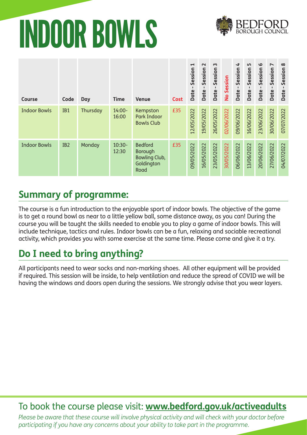# INDOOR BOWLS



| <b>Course</b>       | Code            | Day      | <b>Time</b>        | <b>Venue</b>                                                     | <b>Cost</b> | $\blacktriangleright$<br>Session<br>$\mathbf{I}$<br><b>Date</b> | $\sim$<br>Session<br>$\blacksquare$<br><b>Date</b> | $\sim$<br>Session<br>$\blacksquare$<br>Date | No Session | $\overline{\mathbf{r}}$<br>Session<br><b>Date</b> | 5<br>Session<br>$\mathbf{I}$<br><b>Date</b> | $\mathbf{\Omega}$<br>Session<br>п.<br>Date | $\overline{ }$<br>Session<br>$\blacksquare$<br>Date | $\infty$<br>Session<br>$\blacksquare$<br>Date |
|---------------------|-----------------|----------|--------------------|------------------------------------------------------------------|-------------|-----------------------------------------------------------------|----------------------------------------------------|---------------------------------------------|------------|---------------------------------------------------|---------------------------------------------|--------------------------------------------|-----------------------------------------------------|-----------------------------------------------|
| <b>Indoor Bowls</b> | IB1             | Thursday | $14:00 -$<br>16:00 | Kempston<br>Park Indoor<br><b>Bowls Club</b>                     | £35         | 12/05/2022                                                      | 19/05/2022                                         | 26/05/2022                                  | 02/06/2022 | 09/06/2022                                        | 16/06/2022                                  | 23/06/2022                                 | 30/06/2022                                          | 07/07/2022                                    |
| <b>Indoor Bowls</b> | IB <sub>2</sub> | Monday   | $10:30-$<br>12:30  | <b>Bedford</b><br>Borough<br>Bowling Club,<br>Goldington<br>Road | £35         | 09/05/2022                                                      | 16/05/2022                                         | 23/05/2022                                  | 30/05/2022 | 06/06/2022                                        | 13/06/2022                                  | 20/06/2022                                 | 27/06/2022                                          | 04/07/2022                                    |

#### **Summary of programme:**

The course is a fun introduction to the enjoyable sport of indoor bowls. The objective of the game is to get a round bowl as near to a little yellow ball, some distance away, as you can! During the course you will be taught the skills needed to enable you to play a game of indoor bowls. This will include technique, tactics and rules. Indoor bowls can be a fun, relaxing and sociable recreational activity, which provides you with some exercise at the same time. Please come and give it a try.

### **Do I need to bring anything?**

All participants need to wear socks and non-marking shoes. All other equipment will be provided if required. This session will be inside, to help ventilation and reduce the spread of COVID we will be having the windows and doors open during the sessions. We strongly advise that you wear layers.

#### To book the course please visit: **www.bedford.gov.uk/activeadults**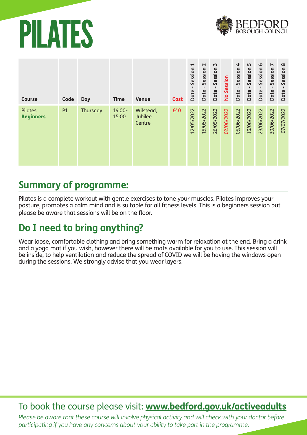### PILATES



| <b>Course</b>               | Code | <b>Day</b> | <b>Time</b>        | <b>Venue</b>                   | <b>Cost</b> | $\blacktriangleright$<br>Session<br>$\blacksquare$<br>Date | $\sim$<br>Session<br>$\blacksquare$<br>Date | $\mathsf{m}$<br>Session<br>$\blacksquare$<br>Date | No Session | $\overline{\mathbf{r}}$<br>Session<br>Date | LN.<br>Session<br>п.<br>Date | $\mathbf{\Omega}$<br>Session<br>Date | $\overline{\phantom{0}}$<br>Session<br>$\mathbf{I}$<br>Date | $\infty$<br>Session<br>п.<br>Date |
|-----------------------------|------|------------|--------------------|--------------------------------|-------------|------------------------------------------------------------|---------------------------------------------|---------------------------------------------------|------------|--------------------------------------------|------------------------------|--------------------------------------|-------------------------------------------------------------|-----------------------------------|
| Pilates<br><b>Beginners</b> | P1   | Thursday   | $14:00 -$<br>15:00 | Wilstead,<br>Jubilee<br>Centre | £40         | 12/05/2022                                                 | 19/05/2022                                  | 26/05/2022                                        | 02/06/2022 | 09/06/2022                                 | 16/06/2022                   | 23/06/2022                           | 30/06/2022                                                  | 07/07/2022                        |

#### **Summary of programme:**

Pilates is a complete workout with gentle exercises to tone your muscles. Pilates improves your posture, promotes a calm mind and is suitable for all fitness levels. This is a beginners session but please be aware that sessions will be on the floor.

#### **Do I need to bring anything?**

Wear loose, comfortable clothing and bring something warm for relaxation at the end. Bring a drink and a yoga mat if you wish, however there will be mats available for you to use. This session will be inside, to help ventilation and reduce the spread of COVID we will be having the windows open during the sessions. We strongly advise that you wear layers.

#### To book the course please visit: **www.bedford.gov.uk/activeadults**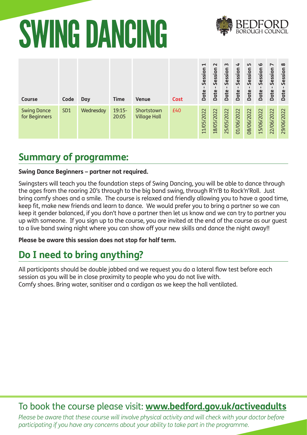# SWING DANCING



| <b>Course</b>                       | Code            | Day       | <b>Time</b>       | <b>Venue</b>                      | <b>Cost</b> | $\blacktriangleright$<br>Session<br>Date | $\sim$<br>Session<br>Date | $\sim$<br>Session<br>Date | $\blacktriangleleft$<br>Session<br>Date | LO.<br>Session<br>Date | $\circ$<br>Session<br>Date | $\overline{\phantom{a}}$<br>Session<br>Date | $\infty$<br>Session<br>Date |
|-------------------------------------|-----------------|-----------|-------------------|-----------------------------------|-------------|------------------------------------------|---------------------------|---------------------------|-----------------------------------------|------------------------|----------------------------|---------------------------------------------|-----------------------------|
| <b>Swing Dance</b><br>for Beginners | SD <sub>1</sub> | Wednesday | $19:15-$<br>20:05 | Shortstown<br><b>Village Hall</b> | £40         | 11/05/2022                               | 18/05/2022                | 25/05/2022                | 01/06/2022                              | 08/06/2022             | 15/06/2022                 | 22/06/2022                                  | 29/06/2022                  |

#### **Summary of programme:**

#### **Swing Dance Beginners – partner not required.**

Swingsters will teach you the foundation steps of Swing Dancing, you will be able to dance through the ages from the roaring 20's through to the big band swing, through R'n'B to Rock'n'Roll. Just bring comfy shoes and a smile. The course is relaxed and friendly allowing you to have a good time, keep fit, make new friends and learn to dance. We would prefer you to bring a partner so we can keep it gender balanced, if you don't have a partner then let us know and we can try to partner you up with someone. If you sign up to the course, you are invited at the end of the course as our guest to a live band swing night where you can show off your new skills and dance the night away!!

**Please be aware this session does not stop for half term.**

#### **Do I need to bring anything?**

All participants should be double jabbed and we request you do a lateral flow test before each session as you will be in close proximity to people who you do not live with. Comfy shoes. Bring water, sanitiser and a cardigan as we keep the hall ventilated.

#### To book the course please visit: **www.bedford.gov.uk/activeadults**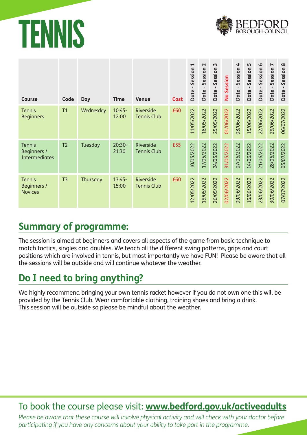### TENNIS



| <b>Course</b>                                               | Code           | Day       | <b>Time</b>       | <b>Venue</b>                    | <b>Cost</b> | $\blacktriangleright$<br>Session<br>$\mathbf{I}$<br><b>Date</b> | $\sim$<br>Session<br>$\mathbf{I}$<br><b>Date</b> | $\sim$<br>Session<br>$\mathbf{I}$<br><b>Date</b> | No Session | 4<br>Session<br><b>Date</b> | LN,<br>Session<br>$\blacksquare$<br>Date - | $\mathbf{Q}$<br>Session<br>п.<br><b>Date</b> | $\overline{ }$<br>Session<br>$\mathbf{I}$<br><b>Date</b> | $\infty$<br>Session<br>$\blacksquare$<br><b>Date</b> |
|-------------------------------------------------------------|----------------|-----------|-------------------|---------------------------------|-------------|-----------------------------------------------------------------|--------------------------------------------------|--------------------------------------------------|------------|-----------------------------|--------------------------------------------|----------------------------------------------|----------------------------------------------------------|------------------------------------------------------|
| <b>Tennis</b><br><b>Beginners</b>                           | T1             | Wednesday | $10:45-$<br>12:00 | Riverside<br><b>Tennis Club</b> | £60         | 11/05/2022                                                      | 18/05/2022                                       | 25/05/2022                                       | 01/06/2022 | 08/06/2022                  | 15/06/2022                                 | 22/06/2022                                   | 29/06/2022                                               | 06/07/2022                                           |
| <b>Tennis</b><br><b>Beginners /</b><br><b>Intermediates</b> | T <sub>2</sub> | Tuesday   | $20:30-$<br>21:30 | Riverside<br><b>Tennis Club</b> | £55         | 10/05/2022                                                      | 17/05/2022                                       | 24/05/2022                                       | 31/05/2022 | 07/06/2022                  | 14/06/2022                                 | 21/06/2022                                   | 28/06/2022                                               | 05/07/2022                                           |
| <b>Tennis</b><br><b>Beginners /</b><br><b>Novices</b>       | T <sub>3</sub> | Thursday  | $13:45-$<br>15:00 | Riverside<br><b>Tennis Club</b> | £60         | 12/05/2022                                                      | 19/05/2022                                       | 26/05/2022                                       | 02/06/2022 | 09/06/2022                  | 16/06/2022                                 | 23/06/2022                                   | 30/06/2022                                               | 07/07/2022                                           |

#### **Summary of programme:**

The session is aimed at beginners and covers all aspects of the game from basic technique to match tactics, singles and doubles. We teach all the different swing patterns, grips and court positions which are involved in tennis, but most importantly we have FUN! Please be aware that all the sessions will be outside and will continue whatever the weather.

#### **Do I need to bring anything?**

We highly recommend bringing your own tennis racket however if you do not own one this will be provided by the Tennis Club. Wear comfortable clothing, training shoes and bring a drink. This session will be outside so please be mindful about the weather.

#### To book the course please visit: **www.bedford.gov.uk/activeadults**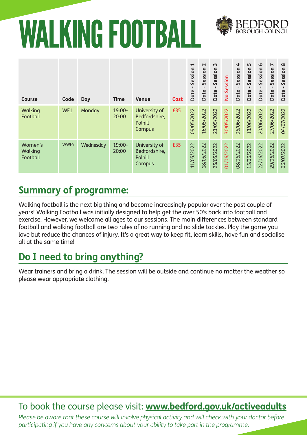## WALKING FOOTBALL



| Course                         | Code | Day       | <b>Time</b>     | <b>Venue</b>                                        | Cost | $\blacktriangleright$<br>Session<br>п.<br><b>Date</b> | $\sim$<br>Session<br>$\mathbf{I}$<br>Date | $\sim$<br>Session<br>п.<br><b>Date</b> | No Session | 4<br>Session<br>Date | Lŋ<br>Session<br>Date | $\mathbf o$<br>Session<br>Date | $\overline{\phantom{a}}$<br>Session<br>$\mathbf{I}$<br>Date | $\infty$<br>Session<br>Date |
|--------------------------------|------|-----------|-----------------|-----------------------------------------------------|------|-------------------------------------------------------|-------------------------------------------|----------------------------------------|------------|----------------------|-----------------------|--------------------------------|-------------------------------------------------------------|-----------------------------|
| Walking<br>Football            | WF1  | Monday    | 19:00-<br>20:00 | University of<br>Bedfordshire,<br>Polhill<br>Campus | £35  | 09/05/2022                                            | 16/05/2022                                | 23/05/2022                             | 30/05/2022 | 06/06/2022           | 13/06/2022            | 20/06/2022                     | 27/06/2022                                                  | 04/07/2022                  |
| Women's<br>Walking<br>Football | WWF4 | Wednesday | 19:00-<br>20:00 | University of<br>Bedfordshire,<br>Polhill<br>Campus | £35  | 11/05/2022                                            | 18/05/2022                                | 25/05/2022                             | 01/06/2022 | 08/06/2022           | 15/06/2022            | 22/06/2022                     | 29/06/2022                                                  | 06/07/2022                  |

#### **Summary of programme:**

Walking football is the next big thing and become increasingly popular over the past couple of years! Walking Football was initially designed to help get the over 50's back into football and exercise. However, we welcome all ages to our sessions. The main differences between standard football and walking football are two rules of no running and no slide tackles. Play the game you love but reduce the chances of injury. It's a great way to keep fit, learn skills, have fun and socialise all at the same time!

#### **Do I need to bring anything?**

Wear trainers and bring a drink. The session will be outside and continue no matter the weather so please wear appropriate clothing.

#### To book the course please visit: **www.bedford.gov.uk/activeadults**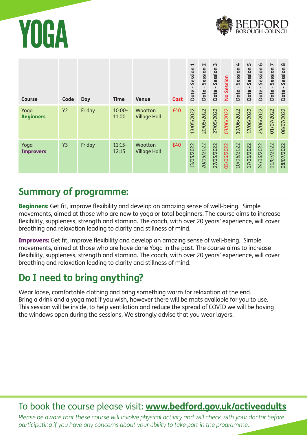



| <b>Course</b>            | Code           | Day    | <b>Time</b>        | <b>Venue</b>                   | <b>Cost</b> | $\blacktriangleright$<br>Session<br>$\mathbf{I}$<br>Date | $\sim$<br>Session<br>$\blacksquare$<br>Date | $\sim$<br>Session<br>п.<br><b>Date</b> | No Session | 4<br>Session<br><b>Date</b> | 5<br>Session<br>$\blacksquare$<br>Date | $\mathbf{\Omega}$<br>Session<br>Date | $\overline{ }$<br>Session<br>$\mathbf{I}$<br>Date | $\infty$<br>Session<br>п.<br>Date |
|--------------------------|----------------|--------|--------------------|--------------------------------|-------------|----------------------------------------------------------|---------------------------------------------|----------------------------------------|------------|-----------------------------|----------------------------------------|--------------------------------------|---------------------------------------------------|-----------------------------------|
| Yoga<br><b>Beginners</b> | <b>Y2</b>      | Friday | $10:00 -$<br>11:00 | Wootton<br><b>Village Hall</b> | £40         | 13/05/2022                                               | 20/05/2022                                  | 27/05/2022                             | 03/06/2022 | 10/06/2022                  | 17/06/2022                             | 24/06/2022                           | 01/07/2022                                        | 08/07/2022                        |
| Yoga<br><b>Improvers</b> | Y <sub>3</sub> | Friday | $11:15-$<br>12:15  | Wootton<br><b>Village Hall</b> | £40         | 13/05/2022                                               | 20/05/2022                                  | 27/05/2022                             | 03/06/2022 | 10/06/2022                  | 17/06/2022                             | 24/06/2022                           | 01/07/2022                                        | 08/07/2022                        |

#### **Summary of programme:**

Beginners: Get fit, improve flexibility and develop an amazing sense of well-being. Simple movements, aimed at those who are new to yoga or total beginners. The course aims to increase flexibility, suppleness, strength and stamina. The coach, with over 20 years' experience, will cover breathing and relaxation leading to clarity and stillness of mind.

Improvers: Get fit, improve flexibility and develop an amazing sense of well-being. Simple movements, aimed at those who are have done Yoga in the past. The course aims to increase flexibility, suppleness, strength and stamina. The coach, with over 20 years' experience, will cover breathing and relaxation leading to clarity and stillness of mind.

#### **Do I need to bring anything?**

Wear loose, comfortable clothing and bring something warm for relaxation at the end. Bring a drink and a yoga mat if you wish, however there will be mats available for you to use. This session will be inside, to help ventilation and reduce the spread of COVID we will be having the windows open during the sessions. We strongly advise that you wear layers.

#### To book the course please visit: **www.bedford.gov.uk/activeadults**